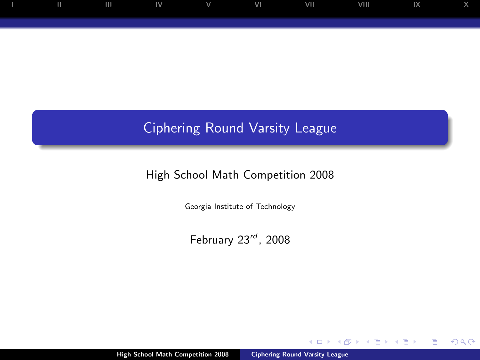

## Ciphering Round Varsity League

## High School Math Competition 2008

Georgia Institute of Technology

February  $23^{rd}$ , 2008

<span id="page-0-0"></span> $\leftarrow$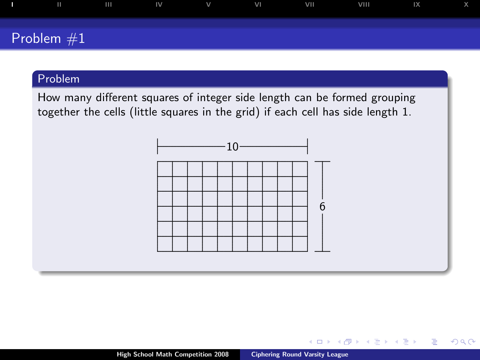

How many different squares of integer side length can be formed grouping together the cells (little squares in the grid) if each cell has side length 1.



<span id="page-1-0"></span> $QQ$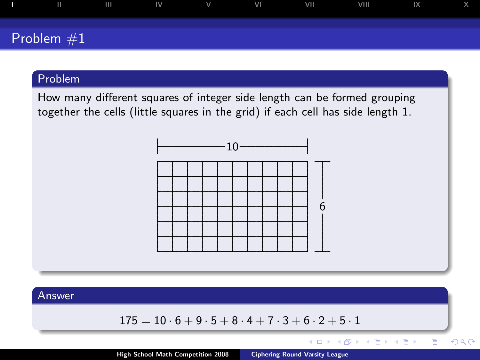

How many different squares of integer side length can be formed grouping together the cells (little squares in the grid) if each cell has side length 1.



#### Answer

$$
175 = 10 \cdot 6 + 9 \cdot 5 + 8 \cdot 4 + 7 \cdot 3 + 6 \cdot 2 + 5 \cdot 1
$$

 $\leftarrow$   $\Box$ 

←母

**B** 

÷.

 $\,$ 

 $\leftarrow \Xi \rightarrow$ 

Ξ

 $2Q$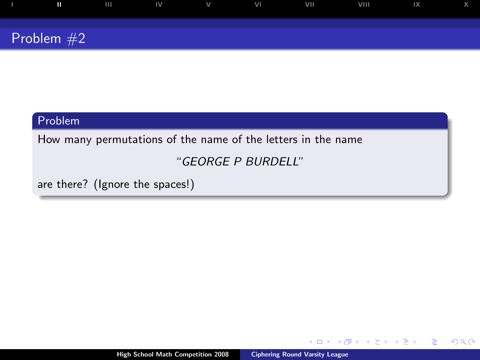

How many permutations of the name of the letters in the name

## "GEORGE P BURDELL"

are there? (Ignore the spaces!)

4日)

 $299$ 

<span id="page-3-0"></span>Þ

œ

∍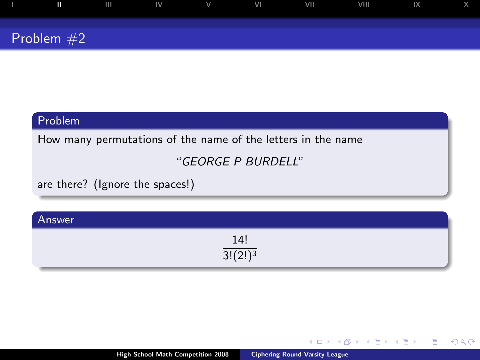| Ш            | $\mathbf{H}$ | $\mathsf{IV}$ | $\vee$ | VI | VII | <b>VIII</b> | 1X |  |
|--------------|--------------|---------------|--------|----|-----|-------------|----|--|
|              |              |               |        |    |     |             |    |  |
| Problem $#2$ |              |               |        |    |     |             |    |  |

How many permutations of the name of the letters in the name

## "GEORGE P BURDELL"

are there? (Ignore the spaces!)

| Answer |                        |  |
|--------|------------------------|--|
|        | $\frac{14!}{3!(2!)^3}$ |  |
|        | $\sim$<br>J:I          |  |

4日)

Þ

不良 下

∍

 $2Q$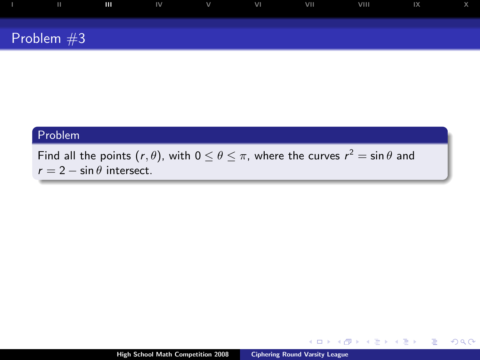

Find all the points  $(r, \theta)$ , with  $0 \leq \theta \leq \pi$ , where the curves  $r^2 = \sin \theta$  and  $r = 2 - \sin \theta$  intersect.

 $\leftarrow$   $\Box$   $\rightarrow$ 

a

<span id="page-5-0"></span>Þ

モミト

∍ ×.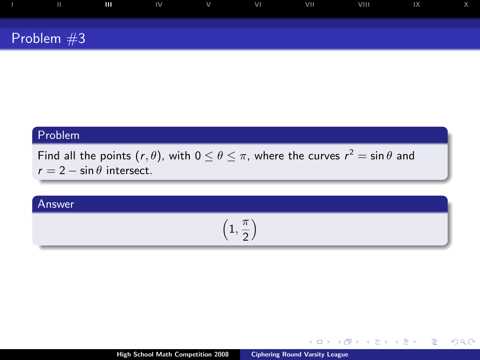

Find all the points  $(r, \theta)$ , with  $0 \leq \theta \leq \pi$ , where the curves  $r^2 = \sin \theta$  and  $r = 2 - \sin \theta$  intersect.

## Answer

$$
\left(1,\frac{\pi}{2}\right)
$$

 $\leftarrow$   $\Box$   $\rightarrow$ 

4 间

 $\Rightarrow$   $\rightarrow$ → 重 ト ÷.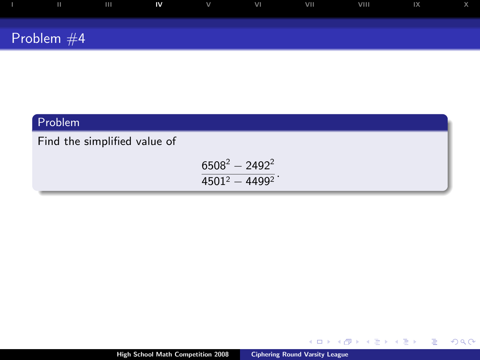| П            | $\mathbf{H}$ | IV | $\vee$ | VI | <b>VIII</b> | VIII | IX |  |
|--------------|--------------|----|--------|----|-------------|------|----|--|
| Problem $#4$ |              |    |        |    |             |      |    |  |

Find the simplified value of

 $6508^2 - 2492^2$  $\frac{3388}{4501^2 - 4499^2}$ .

 $\leftarrow$   $\Box$   $\rightarrow$ 

 $\leftarrow$  $\sim$ 画  $\mathbf{p}$  <span id="page-7-0"></span> $2990$ 

目

 $\leftarrow \Xi \rightarrow$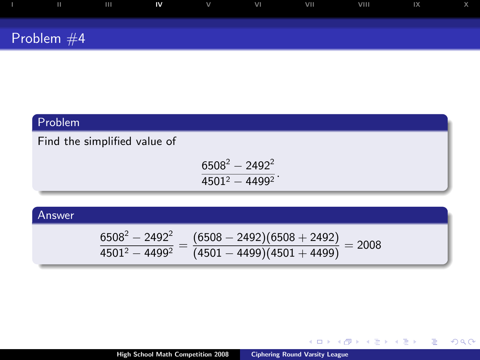| ш            | <b>TILL</b> | ZIV. | $\mathbf{V}$ | VI | VII | VIII | $\mathsf{IX}$ |  |
|--------------|-------------|------|--------------|----|-----|------|---------------|--|
| Problem $#4$ |             |      |              |    |     |      |               |  |

Find the simplified value of

 $6508^2 - 2492^2$  $\frac{3388}{4501^2 - 4499^2}$ .

## Answer

$$
\frac{6508^2-2492^2}{4501^2-4499^2}=\frac{(6508-2492)(6508+2492)}{(4501-4499)(4501+4499)}=2008
$$

 $\leftarrow$   $\Box$   $\rightarrow$ 

- 1 点  $\sim$ ∢ 重 ≯  $299$ 

G

 $\rightarrow$   $\Rightarrow$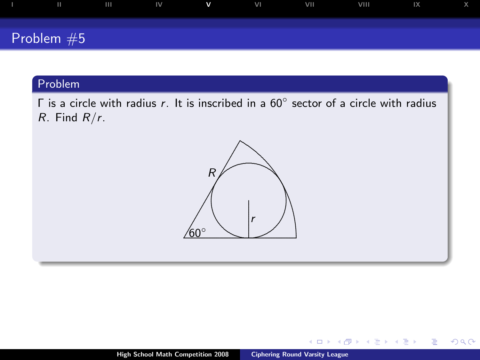

 $\Gamma$  is a circle with radius r. It is inscribed in a 60 $\degree$  sector of a circle with radius  $R.$  Find  $R/r.$ 



 $\leftarrow$   $\Box$ 

 $2Q$ 

<span id="page-9-0"></span>∍

Þ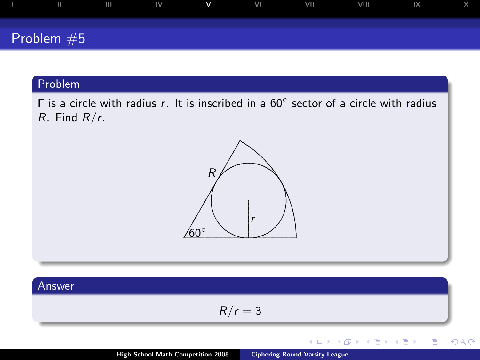

 $\Gamma$  is a circle with radius r. It is inscribed in a 60 $\degree$  sector of a circle with radius  $R.$  Find  $R/r.$ 



#### Answer

$$
R/r = 3
$$

 $\leftarrow$   $\Box$ 

 $2Q$ 

Þ

Þ

×

∍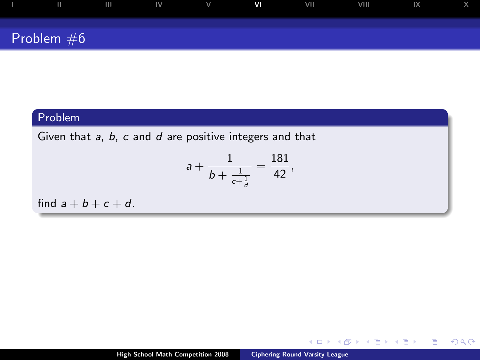| $\mathbf{H}$ | $\mathbf{H}$ | $\overline{\mathsf{IV}}$ | V | V <sub>1</sub> | VII | VIII | IX |  |
|--------------|--------------|--------------------------|---|----------------|-----|------|----|--|
| Problem $#6$ |              |                          |   |                |     |      |    |  |

Given that  $a, b, c$  and  $d$  are positive integers and that

$$
a+\frac{1}{b+\frac{1}{c+\frac{1}{d}}}=\frac{181}{42},
$$

find  $a + b + c + d$ .

 $\leftarrow$   $\Box$   $\rightarrow$ 

4 高 ∍  $\mathcal{A}^{\pm}$ ヨト ×

<span id="page-11-0"></span>Þ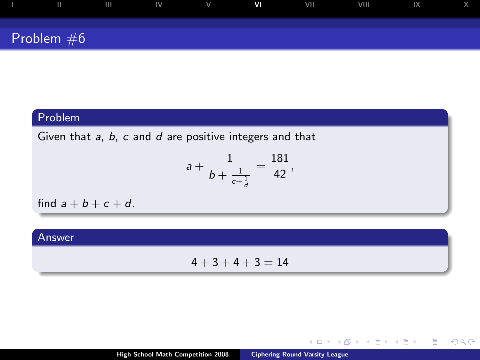| ш            | $\mathbf{H}$ | $\mathbb{N}$ | $\mathsf{V}$ | V <sub>1</sub> | VII | VIII | $\mathsf{I} \mathsf{X}$ |  |
|--------------|--------------|--------------|--------------|----------------|-----|------|-------------------------|--|
|              |              |              |              |                |     |      |                         |  |
| Problem $#6$ |              |              |              |                |     |      |                         |  |

Given that  $a, b, c$  and  $d$  are positive integers and that

$$
a+\frac{1}{b+\frac{1}{c+\frac{1}{d}}}=\frac{181}{42},
$$

find  $a + b + c + d$ .

#### Answer

 $4 + 3 + 4 + 3 = 14$ 

 $\leftarrow$   $\Box$   $\rightarrow$ 

 $\leftarrow$  $\sim$  $\leftarrow$   $\equiv$   $\rightarrow$ 

 $\rightarrow$   $\equiv$   $\rightarrow$ 

Þ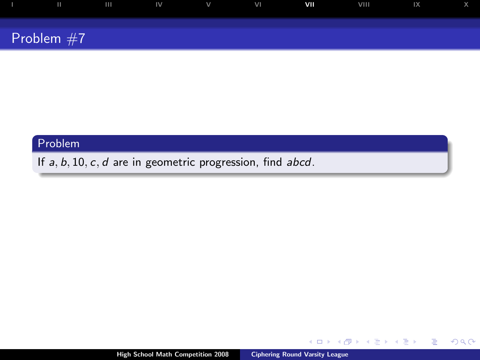| ш             |  | $IV$ $V$ | VI. | VII | VIII | $\mathbb{R}$ and $\mathbb{R}$ |  |
|---------------|--|----------|-----|-----|------|-------------------------------|--|
|               |  |          |     |     |      |                               |  |
| Problem $#7/$ |  |          |     |     |      |                               |  |

If  $a, b, 10, c, d$  are in geometric progression, find  $abcd$ .

 $\leftarrow$   $\Box$   $\rightarrow$ 

 $\leftarrow$  $\sim$ ÷.  $\mathbf{p}$ モミト <span id="page-13-0"></span>Þ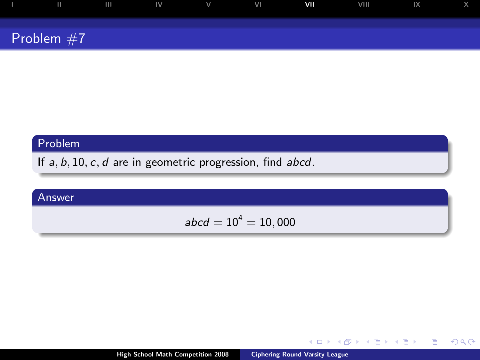| ш            | $\mathbf{III}$ | $\blacksquare$ | $\mathsf{V}$ | VI | VII | VIII | 1X |  |
|--------------|----------------|----------------|--------------|----|-----|------|----|--|
|              |                |                |              |    |     |      |    |  |
| Problem $#7$ |                |                |              |    |     |      |    |  |

If  $a, b, 10, c, d$  are in geometric progression, find  $abcd$ .

## Answer

$$
\mathit{abcd}=10^4=10,000
$$

 $\leftarrow$   $\Box$ 

4 间  $\mathbf{p}$ ÷.  $\mathbf{p}$ モミト Þ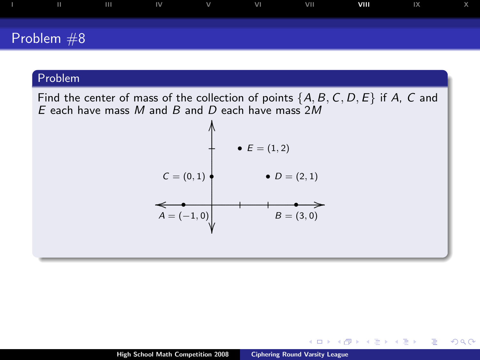

Find the center of mass of the collection of points  $\{A, B, C, D, E\}$  if A, C and E each have mass M and B and D each have mass  $2M$ 



 $-10.5$ 

 $299$ 

<span id="page-15-0"></span>э

э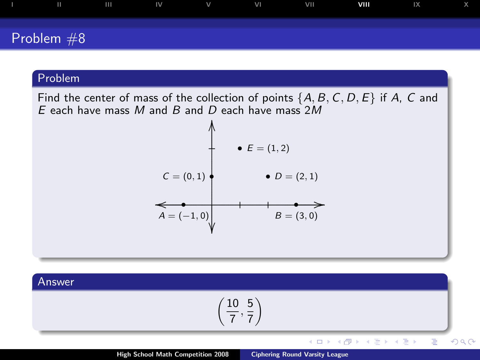

Find the center of mass of the collection of points  $\{A, B, C, D, E\}$  if A, C and E each have mass M and B and D each have mass  $2M$ 



Answer

$$
\left(\frac{10}{7},\frac{5}{7}\right)
$$

 $\leftarrow$   $\Box$ 

<唐→

← 向→

비둘 게

ă

つへへ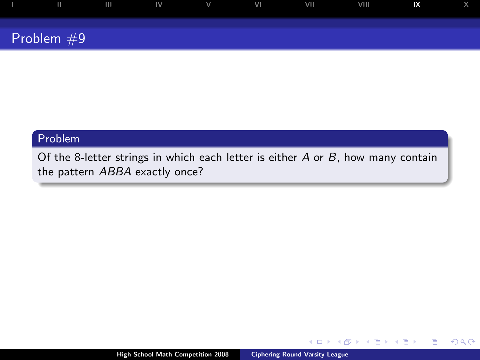

Of the 8-letter strings in which each letter is either  $A$  or  $B$ , how many contain the pattern ABBA exactly once?

 $\leftarrow$ 

 $299$ 

<span id="page-17-0"></span>∍

Þ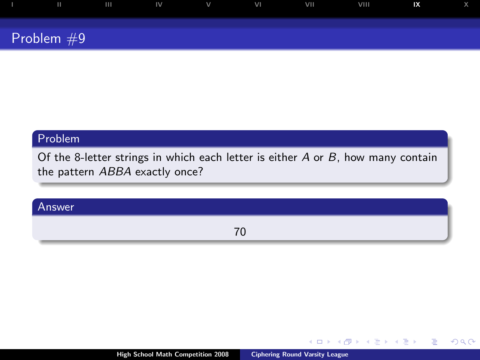| Ш            | $\mathbf{H}$ | IV | $\vee$ | VI | <b>VII</b> | VIII | IX |  |
|--------------|--------------|----|--------|----|------------|------|----|--|
| Problem $#9$ |              |    |        |    |            |      |    |  |

Of the 8-letter strings in which each letter is either A or B, how many contain the pattern ABBA exactly once?

## Answer

70

4日)

Þ

重

 $2Q$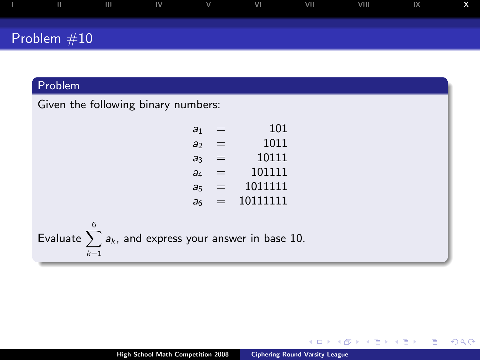|               | $\mathbf{H}$ | IV | $\vee$ | VI | VII | <b>VIII</b> | IX |  |
|---------------|--------------|----|--------|----|-----|-------------|----|--|
| Problem $#10$ |              |    |        |    |     |             |    |  |

Given the following binary numbers:

| a <sub>1</sub> |          | 101      |
|----------------|----------|----------|
| a              | $\equiv$ | 1011     |
| aз             |          | 10111    |
| a <sub>4</sub> | ᆖ        | 101111   |
| a <sub>5</sub> | =        | 1011111  |
| a <sub>6</sub> | $\equiv$ | 10111111 |

Evaluate  $\sum_{k=1}^{6} a_k$ , and express your answer in base 10.  $\overline{k-1}$ 

4日)

 $2Q$ 

<span id="page-19-0"></span>∍

重

∍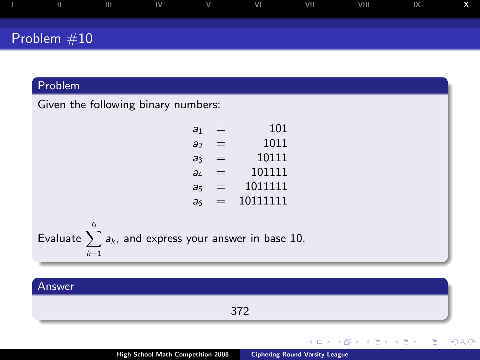| $\mathbf{H}$  | ШL | $\mathsf{IV}$ | V | VI | VII | VIII | IX |  |
|---------------|----|---------------|---|----|-----|------|----|--|
| Problem $#10$ |    |               |   |    |     |      |    |  |

Given the following binary numbers:

| a <sub>1</sub> |          | 101      |
|----------------|----------|----------|
| a              | ═        | 1011     |
| aз             |          | 10111    |
| aд             | ᆖ        | 101111   |
| a5             | $\equiv$ | 1011111  |
| aб             | =        | 10111111 |

Evaluate  $\sum_{k=1}^{6} a_k$ , and express your answer in base 10.  $\overline{k-1}$ 

#### Answer 372  $2Q$  $\leftarrow$ ∍ ∍